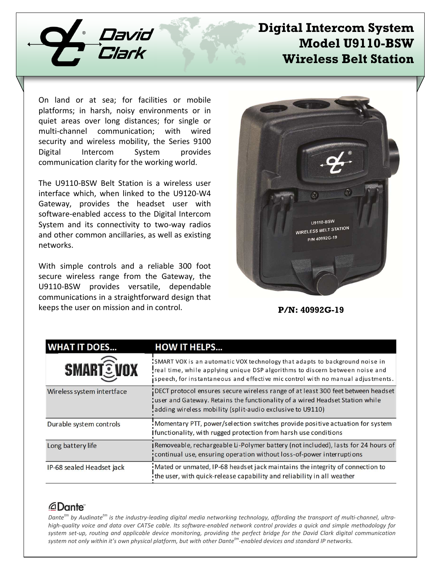

## **Digital Intercom System Model U9110-BSW Wireless Belt Station**

On land or at sea; for facilities or mobile platforms; in harsh, noisy environments or in quiet areas over long distances; for single or multi-channel communication; with wired security and wireless mobility, the Series 9100 Digital Intercom System provides communication clarity for the working world.

The U9110-BSW Belt Station is a wireless user interface which, when linked to the U9120-W4 Gateway, provides the headset user with software-enabled access to the Digital Intercom System and its connectivity to two-way radios and other common ancillaries, as well as existing networks.

With simple controls and a reliable 300 foot secure wireless range from the Gateway, the U9110-BSW provides versatile, dependable communications in a straightforward design that keeps the user on mission and in control.



**P/N: 40992G-19**

| <b>WHAT IT DOES</b>        | <b>HOW IT HELPS</b>                                                                                                                                                                                                                            |
|----------------------------|------------------------------------------------------------------------------------------------------------------------------------------------------------------------------------------------------------------------------------------------|
| <b>SMART EVOX</b>          | SMART VOX is an automatic VOX technology that adapts to background noise in<br>real time, while applying unique DSP algorithms to discern between noise and<br>speech, for instantaneous and effective mic control with no manual adjustments. |
| Wireless system intertface | DECT protocol ensures secure wireless range of at least 300 feet between headset<br>user and Gateway. Retains the functionality of a wired Headset Station while<br>adding wireless mobility (split-audio exclusive to U9110)                  |
| Durable system controls    | Momentary PTT, power/selection switches provide positive actuation for system<br>Ifunctionality, with rugged protection from harsh use conditions                                                                                              |
| Long battery life          | JRemoveable, rechargeable Li-Polymer battery (not included), lasts for 24 hours of<br>continual use, ensuring operation without loss-of-power interruptions                                                                                    |
| IP-68 sealed Headset jack  | Mated or unmated, IP-68 headset jack maintains the integrity of connection to<br>the user, with quick-release capability and reliability in all weather                                                                                        |

## *<u>ADante</u>*

*Dantetm by Audinatetm is the industry-leading digital media networking technology, affording the transport of multi-channel, ultrahigh-quality voice and data over CAT5e cable. Its software-enabled network control provides a quick and simple methodology for system set-up, routing and applicable device monitoring, providing the perfect bridge for the David Clark digital communication system not only within it's own physical platform, but with other Dantetm-enabled devices and standard IP networks.*